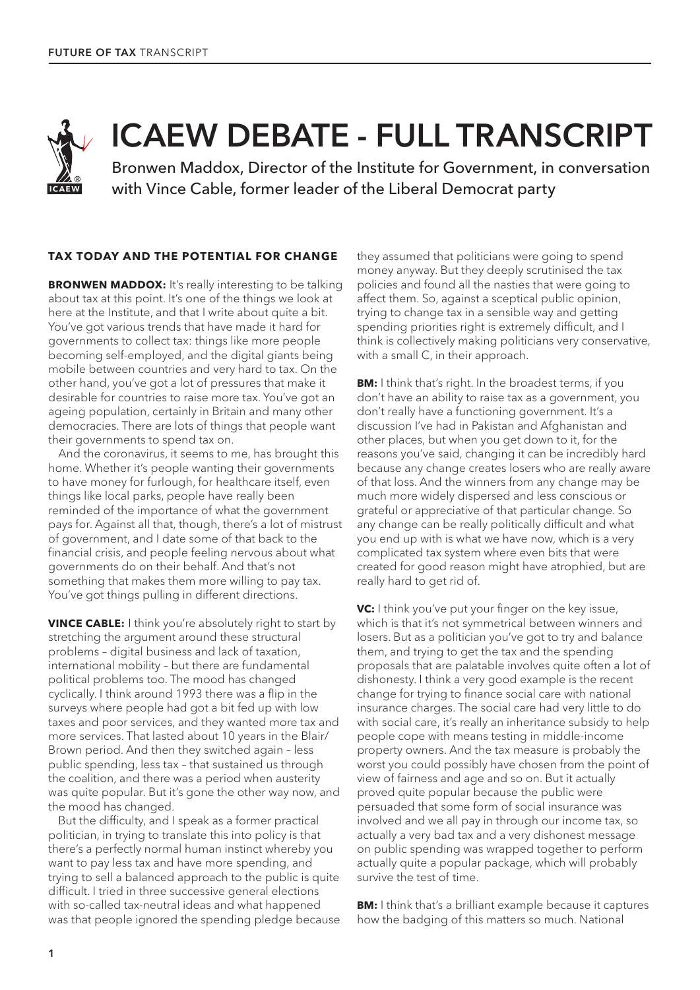

# ICAEW DEBATE - FULL TRANSCRIPT

Bronwen Maddox, Director of the Institute for Government, in conversation with Vince Cable, former leader of the Liberal Democrat party

## **TAX TODAY AND THE POTENTIAL FOR CHANGE**

**BRONWEN MADDOX:** It's really interesting to be talking about tax at this point. It's one of the things we look at here at the Institute, and that I write about quite a bit. You've got various trends that have made it hard for governments to collect tax: things like more people becoming self-employed, and the digital giants being mobile between countries and very hard to tax. On the other hand, you've got a lot of pressures that make it desirable for countries to raise more tax. You've got an ageing population, certainly in Britain and many other democracies. There are lots of things that people want their governments to spend tax on.

And the coronavirus, it seems to me, has brought this home. Whether it's people wanting their governments to have money for furlough, for healthcare itself, even things like local parks, people have really been reminded of the importance of what the government pays for. Against all that, though, there's a lot of mistrust of government, and I date some of that back to the financial crisis, and people feeling nervous about what governments do on their behalf. And that's not something that makes them more willing to pay tax. You've got things pulling in different directions.

**VINCE CABLE:** I think you're absolutely right to start by stretching the argument around these structural problems – digital business and lack of taxation, international mobility – but there are fundamental political problems too. The mood has changed cyclically. I think around 1993 there was a flip in the surveys where people had got a bit fed up with low taxes and poor services, and they wanted more tax and more services. That lasted about 10 years in the Blair/ Brown period. And then they switched again – less public spending, less tax – that sustained us through the coalition, and there was a period when austerity was quite popular. But it's gone the other way now, and the mood has changed.

But the difficulty, and I speak as a former practical politician, in trying to translate this into policy is that there's a perfectly normal human instinct whereby you want to pay less tax and have more spending, and trying to sell a balanced approach to the public is quite difficult. I tried in three successive general elections with so-called tax-neutral ideas and what happened was that people ignored the spending pledge because they assumed that politicians were going to spend money anyway. But they deeply scrutinised the tax policies and found all the nasties that were going to affect them. So, against a sceptical public opinion, trying to change tax in a sensible way and getting spending priorities right is extremely difficult, and I think is collectively making politicians very conservative, with a small C, in their approach.

**BM:** I think that's right. In the broadest terms, if you don't have an ability to raise tax as a government, you don't really have a functioning government. It's a discussion I've had in Pakistan and Afghanistan and other places, but when you get down to it, for the reasons you've said, changing it can be incredibly hard because any change creates losers who are really aware of that loss. And the winners from any change may be much more widely dispersed and less conscious or grateful or appreciative of that particular change. So any change can be really politically difficult and what you end up with is what we have now, which is a very complicated tax system where even bits that were created for good reason might have atrophied, but are really hard to get rid of.

**VC:** I think you've put your finger on the key issue, which is that it's not symmetrical between winners and losers. But as a politician you've got to try and balance them, and trying to get the tax and the spending proposals that are palatable involves quite often a lot of dishonesty. I think a very good example is the recent change for trying to finance social care with national insurance charges. The social care had very little to do with social care, it's really an inheritance subsidy to help people cope with means testing in middle-income property owners. And the tax measure is probably the worst you could possibly have chosen from the point of view of fairness and age and so on. But it actually proved quite popular because the public were persuaded that some form of social insurance was involved and we all pay in through our income tax, so actually a very bad tax and a very dishonest message on public spending was wrapped together to perform actually quite a popular package, which will probably survive the test of time.

**BM:** I think that's a brilliant example because it captures how the badging of this matters so much. National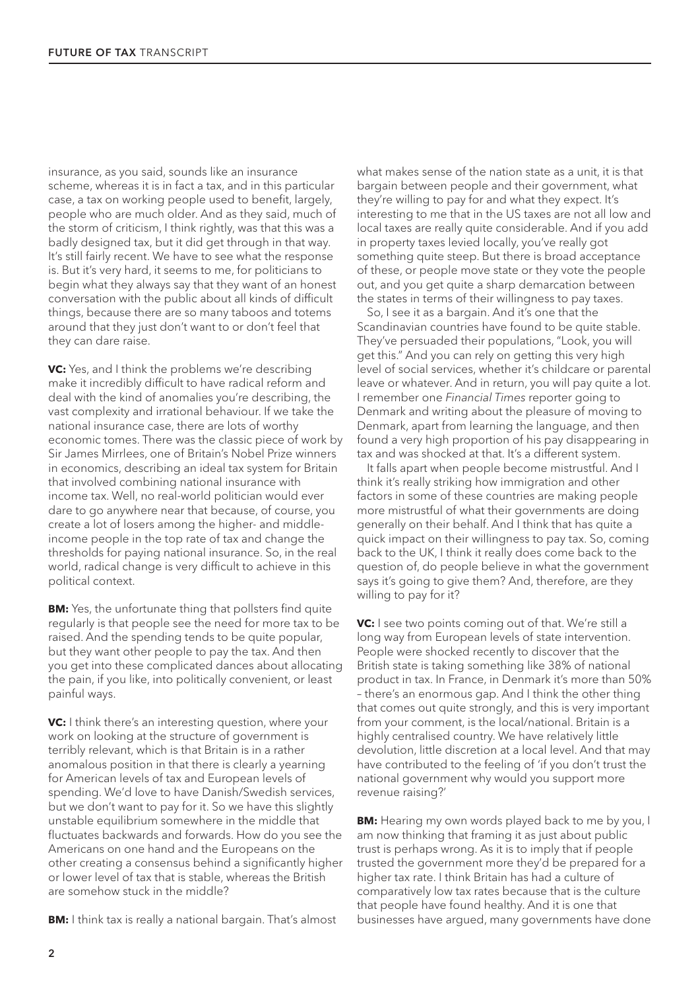insurance, as you said, sounds like an insurance scheme, whereas it is in fact a tax, and in this particular case, a tax on working people used to benefit, largely, people who are much older. And as they said, much of the storm of criticism, I think rightly, was that this was a badly designed tax, but it did get through in that way. It's still fairly recent. We have to see what the response is. But it's very hard, it seems to me, for politicians to begin what they always say that they want of an honest conversation with the public about all kinds of difficult things, because there are so many taboos and totems around that they just don't want to or don't feel that they can dare raise.

**VC:** Yes, and I think the problems we're describing make it incredibly difficult to have radical reform and deal with the kind of anomalies you're describing, the vast complexity and irrational behaviour. If we take the national insurance case, there are lots of worthy economic tomes. There was the classic piece of work by Sir James Mirrlees, one of Britain's Nobel Prize winners in economics, describing an ideal tax system for Britain that involved combining national insurance with income tax. Well, no real-world politician would ever dare to go anywhere near that because, of course, you create a lot of losers among the higher- and middleincome people in the top rate of tax and change the thresholds for paying national insurance. So, in the real world, radical change is very difficult to achieve in this political context.

**BM:** Yes, the unfortunate thing that pollsters find quite regularly is that people see the need for more tax to be raised. And the spending tends to be quite popular, but they want other people to pay the tax. And then you get into these complicated dances about allocating the pain, if you like, into politically convenient, or least painful ways.

**VC:** I think there's an interesting question, where your work on looking at the structure of government is terribly relevant, which is that Britain is in a rather anomalous position in that there is clearly a yearning for American levels of tax and European levels of spending. We'd love to have Danish/Swedish services, but we don't want to pay for it. So we have this slightly unstable equilibrium somewhere in the middle that fluctuates backwards and forwards. How do you see the Americans on one hand and the Europeans on the other creating a consensus behind a significantly higher or lower level of tax that is stable, whereas the British are somehow stuck in the middle?

**BM:** I think tax is really a national bargain. That's almost

what makes sense of the nation state as a unit, it is that bargain between people and their government, what they're willing to pay for and what they expect. It's interesting to me that in the US taxes are not all low and local taxes are really quite considerable. And if you add in property taxes levied locally, you've really got something quite steep. But there is broad acceptance of these, or people move state or they vote the people out, and you get quite a sharp demarcation between the states in terms of their willingness to pay taxes.

So, I see it as a bargain. And it's one that the Scandinavian countries have found to be quite stable. They've persuaded their populations, "Look, you will get this." And you can rely on getting this very high level of social services, whether it's childcare or parental leave or whatever. And in return, you will pay quite a lot. I remember one *Financial Times* reporter going to Denmark and writing about the pleasure of moving to Denmark, apart from learning the language, and then found a very high proportion of his pay disappearing in tax and was shocked at that. It's a different system.

It falls apart when people become mistrustful. And I think it's really striking how immigration and other factors in some of these countries are making people more mistrustful of what their governments are doing generally on their behalf. And I think that has quite a quick impact on their willingness to pay tax. So, coming back to the UK, I think it really does come back to the question of, do people believe in what the government says it's going to give them? And, therefore, are they willing to pay for it?

**VC:** I see two points coming out of that. We're still a long way from European levels of state intervention. People were shocked recently to discover that the British state is taking something like 38% of national product in tax. In France, in Denmark it's more than 50% – there's an enormous gap. And I think the other thing that comes out quite strongly, and this is very important from your comment, is the local/national. Britain is a highly centralised country. We have relatively little devolution, little discretion at a local level. And that may have contributed to the feeling of 'if you don't trust the national government why would you support more revenue raising?'

**BM:** Hearing my own words played back to me by you, I am now thinking that framing it as just about public trust is perhaps wrong. As it is to imply that if people trusted the government more they'd be prepared for a higher tax rate. I think Britain has had a culture of comparatively low tax rates because that is the culture that people have found healthy. And it is one that businesses have argued, many governments have done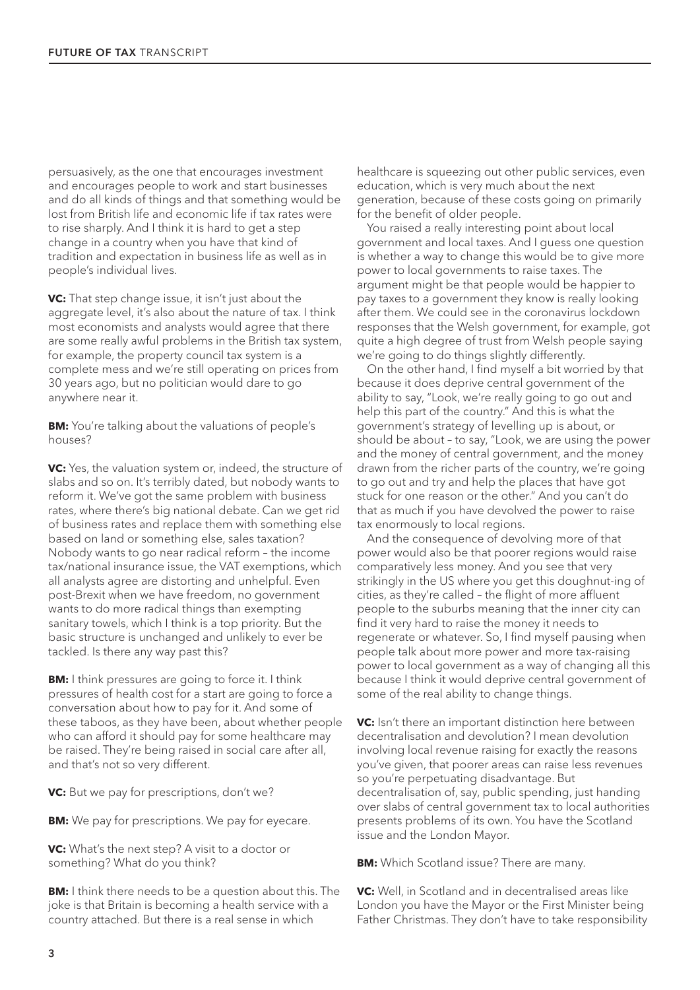persuasively, as the one that encourages investment and encourages people to work and start businesses and do all kinds of things and that something would be lost from British life and economic life if tax rates were to rise sharply. And I think it is hard to get a step change in a country when you have that kind of tradition and expectation in business life as well as in people's individual lives.

**VC:** That step change issue, it isn't just about the aggregate level, it's also about the nature of tax. I think most economists and analysts would agree that there are some really awful problems in the British tax system, for example, the property council tax system is a complete mess and we're still operating on prices from 30 years ago, but no politician would dare to go anywhere near it.

**BM:** You're talking about the valuations of people's houses?

**VC:** Yes, the valuation system or, indeed, the structure of slabs and so on. It's terribly dated, but nobody wants to reform it. We've got the same problem with business rates, where there's big national debate. Can we get rid of business rates and replace them with something else based on land or something else, sales taxation? Nobody wants to go near radical reform – the income tax/national insurance issue, the VAT exemptions, which all analysts agree are distorting and unhelpful. Even post-Brexit when we have freedom, no government wants to do more radical things than exempting sanitary towels, which I think is a top priority. But the basic structure is unchanged and unlikely to ever be tackled. Is there any way past this?

**BM:** I think pressures are going to force it. I think pressures of health cost for a start are going to force a conversation about how to pay for it. And some of these taboos, as they have been, about whether people who can afford it should pay for some healthcare may be raised. They're being raised in social care after all, and that's not so very different.

**VC:** But we pay for prescriptions, don't we?

**BM:** We pay for prescriptions. We pay for eyecare.

**VC:** What's the next step? A visit to a doctor or something? What do you think?

**BM:** I think there needs to be a question about this. The joke is that Britain is becoming a health service with a country attached. But there is a real sense in which

healthcare is squeezing out other public services, even education, which is very much about the next generation, because of these costs going on primarily for the benefit of older people.

You raised a really interesting point about local government and local taxes. And I guess one question is whether a way to change this would be to give more power to local governments to raise taxes. The argument might be that people would be happier to pay taxes to a government they know is really looking after them. We could see in the coronavirus lockdown responses that the Welsh government, for example, got quite a high degree of trust from Welsh people saying we're going to do things slightly differently.

On the other hand, I find myself a bit worried by that because it does deprive central government of the ability to say, "Look, we're really going to go out and help this part of the country." And this is what the government's strategy of levelling up is about, or should be about – to say, "Look, we are using the power and the money of central government, and the money drawn from the richer parts of the country, we're going to go out and try and help the places that have got stuck for one reason or the other." And you can't do that as much if you have devolved the power to raise tax enormously to local regions.

And the consequence of devolving more of that power would also be that poorer regions would raise comparatively less money. And you see that very strikingly in the US where you get this doughnut-ing of cities, as they're called – the flight of more affluent people to the suburbs meaning that the inner city can find it very hard to raise the money it needs to regenerate or whatever. So, I find myself pausing when people talk about more power and more tax-raising power to local government as a way of changing all this because I think it would deprive central government of some of the real ability to change things.

**VC:** Isn't there an important distinction here between decentralisation and devolution? I mean devolution involving local revenue raising for exactly the reasons you've given, that poorer areas can raise less revenues so you're perpetuating disadvantage. But decentralisation of, say, public spending, just handing over slabs of central government tax to local authorities presents problems of its own. You have the Scotland issue and the London Mayor.

**BM:** Which Scotland issue? There are many.

**VC:** Well, in Scotland and in decentralised areas like London you have the Mayor or the First Minister being Father Christmas. They don't have to take responsibility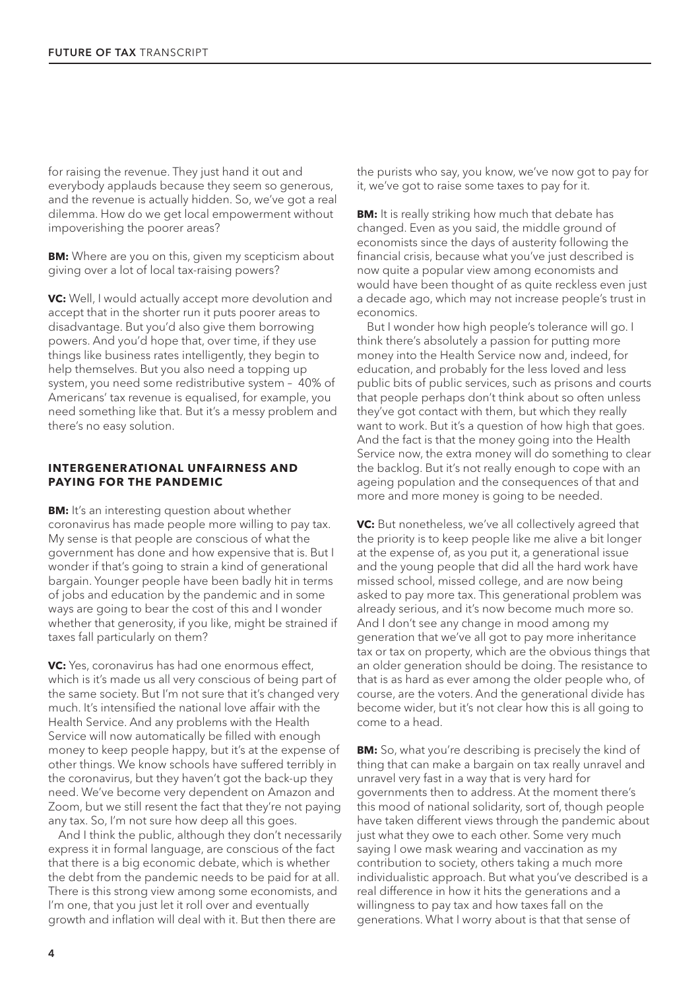for raising the revenue. They just hand it out and everybody applauds because they seem so generous, and the revenue is actually hidden. So, we've got a real dilemma. How do we get local empowerment without impoverishing the poorer areas?

**BM:** Where are you on this, given my scepticism about giving over a lot of local tax-raising powers?

**VC:** Well, I would actually accept more devolution and accept that in the shorter run it puts poorer areas to disadvantage. But you'd also give them borrowing powers. And you'd hope that, over time, if they use things like business rates intelligently, they begin to help themselves. But you also need a topping up system, you need some redistributive system – 40% of Americans' tax revenue is equalised, for example, you need something like that. But it's a messy problem and there's no easy solution.

#### **INTERGENERATIONAL UNFAIRNESS AND PAYING FOR THE PANDEMIC**

**BM:** It's an interesting question about whether coronavirus has made people more willing to pay tax. My sense is that people are conscious of what the government has done and how expensive that is. But I wonder if that's going to strain a kind of generational bargain. Younger people have been badly hit in terms of jobs and education by the pandemic and in some ways are going to bear the cost of this and I wonder whether that generosity, if you like, might be strained if taxes fall particularly on them?

**VC:** Yes, coronavirus has had one enormous effect, which is it's made us all very conscious of being part of the same society. But I'm not sure that it's changed very much. It's intensified the national love affair with the Health Service. And any problems with the Health Service will now automatically be filled with enough money to keep people happy, but it's at the expense of other things. We know schools have suffered terribly in the coronavirus, but they haven't got the back-up they need. We've become very dependent on Amazon and Zoom, but we still resent the fact that they're not paying any tax. So, I'm not sure how deep all this goes.

And I think the public, although they don't necessarily express it in formal language, are conscious of the fact that there is a big economic debate, which is whether the debt from the pandemic needs to be paid for at all. There is this strong view among some economists, and I'm one, that you just let it roll over and eventually growth and inflation will deal with it. But then there are

the purists who say, you know, we've now got to pay for it, we've got to raise some taxes to pay for it.

**BM:** It is really striking how much that debate has changed. Even as you said, the middle ground of economists since the days of austerity following the financial crisis, because what you've just described is now quite a popular view among economists and would have been thought of as quite reckless even just a decade ago, which may not increase people's trust in economics.

But I wonder how high people's tolerance will go. I think there's absolutely a passion for putting more money into the Health Service now and, indeed, for education, and probably for the less loved and less public bits of public services, such as prisons and courts that people perhaps don't think about so often unless they've got contact with them, but which they really want to work. But it's a question of how high that goes. And the fact is that the money going into the Health Service now, the extra money will do something to clear the backlog. But it's not really enough to cope with an ageing population and the consequences of that and more and more money is going to be needed.

**VC:** But nonetheless, we've all collectively agreed that the priority is to keep people like me alive a bit longer at the expense of, as you put it, a generational issue and the young people that did all the hard work have missed school, missed college, and are now being asked to pay more tax. This generational problem was already serious, and it's now become much more so. And I don't see any change in mood among my generation that we've all got to pay more inheritance tax or tax on property, which are the obvious things that an older generation should be doing. The resistance to that is as hard as ever among the older people who, of course, are the voters. And the generational divide has become wider, but it's not clear how this is all going to come to a head.

**BM:** So, what you're describing is precisely the kind of thing that can make a bargain on tax really unravel and unravel very fast in a way that is very hard for governments then to address. At the moment there's this mood of national solidarity, sort of, though people have taken different views through the pandemic about just what they owe to each other. Some very much saying I owe mask wearing and vaccination as my contribution to society, others taking a much more individualistic approach. But what you've described is a real difference in how it hits the generations and a willingness to pay tax and how taxes fall on the generations. What I worry about is that that sense of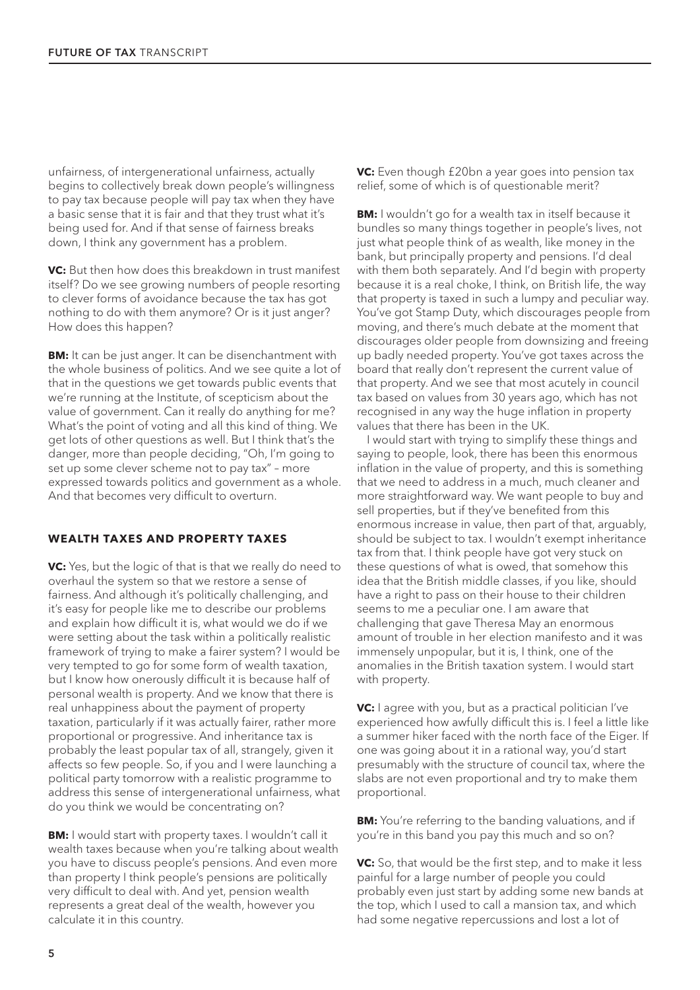unfairness, of intergenerational unfairness, actually begins to collectively break down people's willingness to pay tax because people will pay tax when they have a basic sense that it is fair and that they trust what it's being used for. And if that sense of fairness breaks down, I think any government has a problem.

**VC:** But then how does this breakdown in trust manifest itself? Do we see growing numbers of people resorting to clever forms of avoidance because the tax has got nothing to do with them anymore? Or is it just anger? How does this happen?

**BM:** It can be just anger. It can be disenchantment with the whole business of politics. And we see quite a lot of that in the questions we get towards public events that we're running at the Institute, of scepticism about the value of government. Can it really do anything for me? What's the point of voting and all this kind of thing. We get lots of other questions as well. But I think that's the danger, more than people deciding, "Oh, I'm going to set up some clever scheme not to pay tax" – more expressed towards politics and government as a whole. And that becomes very difficult to overturn.

## **WEALTH TAXES AND PROPERTY TAXES**

**VC:** Yes, but the logic of that is that we really do need to overhaul the system so that we restore a sense of fairness. And although it's politically challenging, and it's easy for people like me to describe our problems and explain how difficult it is, what would we do if we were setting about the task within a politically realistic framework of trying to make a fairer system? I would be very tempted to go for some form of wealth taxation, but I know how onerously difficult it is because half of personal wealth is property. And we know that there is real unhappiness about the payment of property taxation, particularly if it was actually fairer, rather more proportional or progressive. And inheritance tax is probably the least popular tax of all, strangely, given it affects so few people. So, if you and I were launching a political party tomorrow with a realistic programme to address this sense of intergenerational unfairness, what do you think we would be concentrating on?

**BM:** I would start with property taxes. I wouldn't call it wealth taxes because when you're talking about wealth you have to discuss people's pensions. And even more than property I think people's pensions are politically very difficult to deal with. And yet, pension wealth represents a great deal of the wealth, however you calculate it in this country.

**VC:** Even though £20bn a year goes into pension tax relief, some of which is of questionable merit?

**BM:** I wouldn't go for a wealth tax in itself because it bundles so many things together in people's lives, not just what people think of as wealth, like money in the bank, but principally property and pensions. I'd deal with them both separately. And I'd begin with property because it is a real choke, I think, on British life, the way that property is taxed in such a lumpy and peculiar way. You've got Stamp Duty, which discourages people from moving, and there's much debate at the moment that discourages older people from downsizing and freeing up badly needed property. You've got taxes across the board that really don't represent the current value of that property. And we see that most acutely in council tax based on values from 30 years ago, which has not recognised in any way the huge inflation in property values that there has been in the UK.

I would start with trying to simplify these things and saying to people, look, there has been this enormous inflation in the value of property, and this is something that we need to address in a much, much cleaner and more straightforward way. We want people to buy and sell properties, but if they've benefited from this enormous increase in value, then part of that, arguably, should be subject to tax. I wouldn't exempt inheritance tax from that. I think people have got very stuck on these questions of what is owed, that somehow this idea that the British middle classes, if you like, should have a right to pass on their house to their children seems to me a peculiar one. I am aware that challenging that gave Theresa May an enormous amount of trouble in her election manifesto and it was immensely unpopular, but it is, I think, one of the anomalies in the British taxation system. I would start with property.

**VC:** I agree with you, but as a practical politician I've experienced how awfully difficult this is. I feel a little like a summer hiker faced with the north face of the Eiger. If one was going about it in a rational way, you'd start presumably with the structure of council tax, where the slabs are not even proportional and try to make them proportional.

**BM:** You're referring to the banding valuations, and if you're in this band you pay this much and so on?

**VC:** So, that would be the first step, and to make it less painful for a large number of people you could probably even just start by adding some new bands at the top, which I used to call a mansion tax, and which had some negative repercussions and lost a lot of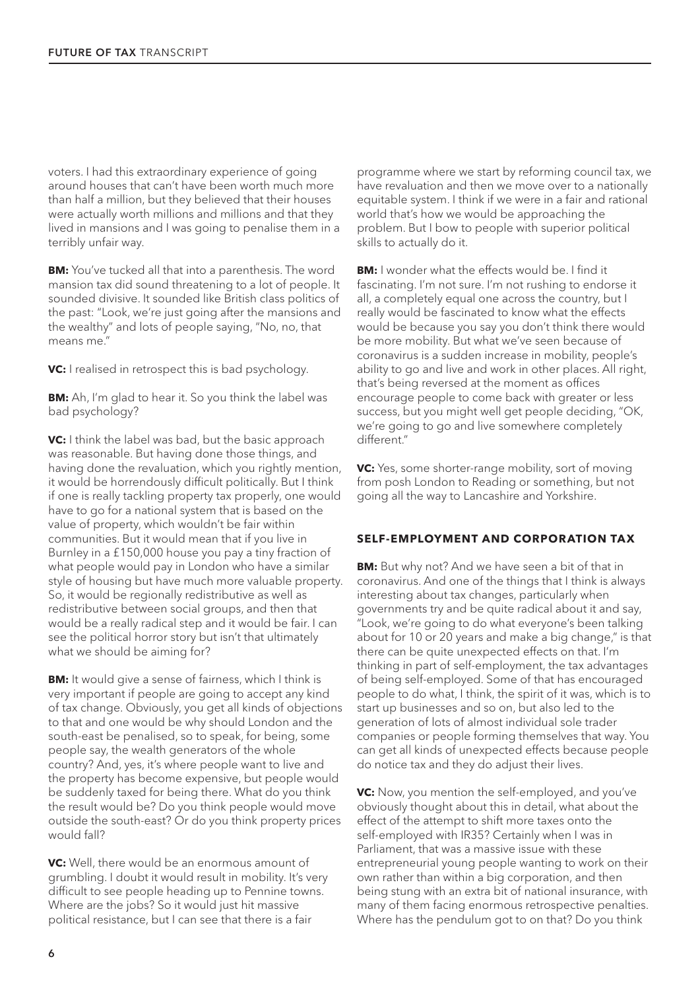voters. I had this extraordinary experience of going around houses that can't have been worth much more than half a million, but they believed that their houses were actually worth millions and millions and that they lived in mansions and I was going to penalise them in a terribly unfair way.

**BM:** You've tucked all that into a parenthesis. The word mansion tax did sound threatening to a lot of people. It sounded divisive. It sounded like British class politics of the past: "Look, we're just going after the mansions and the wealthy" and lots of people saying, "No, no, that means me."

**VC:** I realised in retrospect this is bad psychology.

**BM:** Ah, I'm glad to hear it. So you think the label was bad psychology?

**VC:** I think the label was bad, but the basic approach was reasonable. But having done those things, and having done the revaluation, which you rightly mention, it would be horrendously difficult politically. But I think if one is really tackling property tax properly, one would have to go for a national system that is based on the value of property, which wouldn't be fair within communities. But it would mean that if you live in Burnley in a £150,000 house you pay a tiny fraction of what people would pay in London who have a similar style of housing but have much more valuable property. So, it would be regionally redistributive as well as redistributive between social groups, and then that would be a really radical step and it would be fair. I can see the political horror story but isn't that ultimately what we should be aiming for?

**BM:** It would give a sense of fairness, which I think is very important if people are going to accept any kind of tax change. Obviously, you get all kinds of objections to that and one would be why should London and the south-east be penalised, so to speak, for being, some people say, the wealth generators of the whole country? And, yes, it's where people want to live and the property has become expensive, but people would be suddenly taxed for being there. What do you think the result would be? Do you think people would move outside the south-east? Or do you think property prices would fall?

**VC:** Well, there would be an enormous amount of grumbling. I doubt it would result in mobility. It's very difficult to see people heading up to Pennine towns. Where are the jobs? So it would just hit massive political resistance, but I can see that there is a fair

programme where we start by reforming council tax, we have revaluation and then we move over to a nationally equitable system. I think if we were in a fair and rational world that's how we would be approaching the problem. But I bow to people with superior political skills to actually do it.

**BM:** I wonder what the effects would be. I find it fascinating. I'm not sure. I'm not rushing to endorse it all, a completely equal one across the country, but I really would be fascinated to know what the effects would be because you say you don't think there would be more mobility. But what we've seen because of coronavirus is a sudden increase in mobility, people's ability to go and live and work in other places. All right, that's being reversed at the moment as offices encourage people to come back with greater or less success, but you might well get people deciding, "OK, we're going to go and live somewhere completely different."

**VC:** Yes, some shorter-range mobility, sort of moving from posh London to Reading or something, but not going all the way to Lancashire and Yorkshire.

#### **SELF-EMPLOYMENT AND CORPORATION TAX**

**BM:** But why not? And we have seen a bit of that in coronavirus. And one of the things that I think is always interesting about tax changes, particularly when governments try and be quite radical about it and say, "Look, we're going to do what everyone's been talking about for 10 or 20 years and make a big change," is that there can be quite unexpected effects on that. I'm thinking in part of self-employment, the tax advantages of being self-employed. Some of that has encouraged people to do what, I think, the spirit of it was, which is to start up businesses and so on, but also led to the generation of lots of almost individual sole trader companies or people forming themselves that way. You can get all kinds of unexpected effects because people do notice tax and they do adjust their lives.

**VC:** Now, you mention the self-employed, and you've obviously thought about this in detail, what about the effect of the attempt to shift more taxes onto the self-employed with IR35? Certainly when I was in Parliament, that was a massive issue with these entrepreneurial young people wanting to work on their own rather than within a big corporation, and then being stung with an extra bit of national insurance, with many of them facing enormous retrospective penalties. Where has the pendulum got to on that? Do you think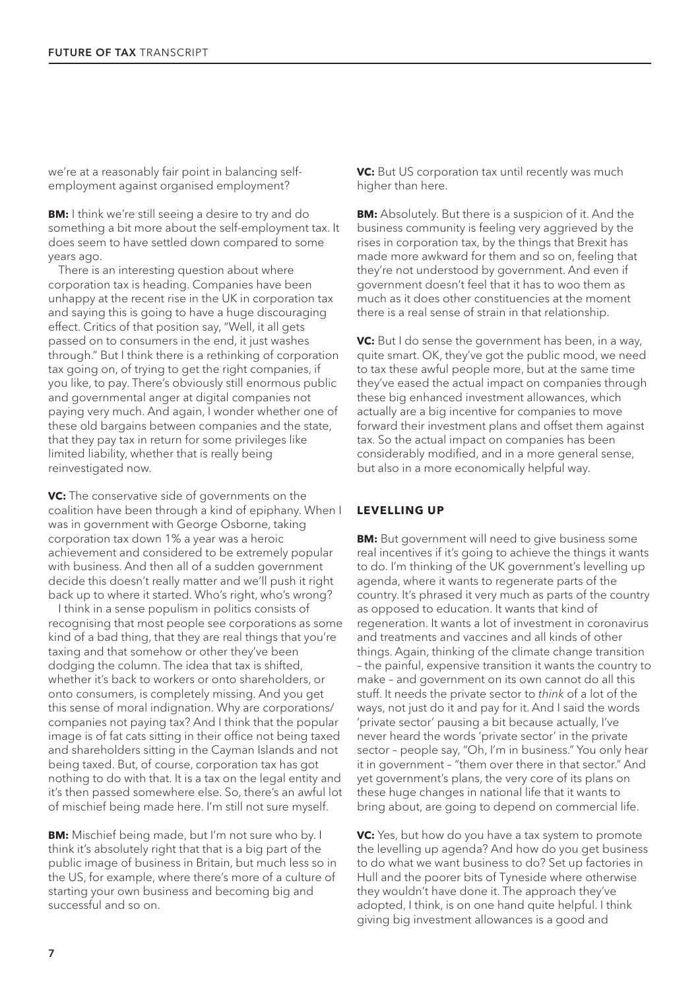we're at a reasonably fair point in balancing selfemployment against organised employment?

**BM:** I think we're still seeing a desire to try and do something a bit more about the self-employment tax. It does seem to have settled down compared to some years ago.

There is an interesting question about where corporation tax is heading. Companies have been unhappy at the recent rise in the UK in corporation tax and saying this is going to have a huge discouraging effect. Critics of that position say, "Well, it all gets passed on to consumers in the end, it just washes through." But I think there is a rethinking of corporation tax going on, of trying to get the right companies, if you like, to pay. There's obviously still enormous public and governmental anger at digital companies not paying very much. And again, I wonder whether one of these old bargains between companies and the state, that they pay tax in return for some privileges like limited liability, whether that is really being reinvestigated now.

**VC:** The conservative side of governments on the coalition have been through a kind of epiphany. When I was in government with George Osborne, taking corporation tax down 1% a year was a heroic achievement and considered to be extremely popular with business. And then all of a sudden government decide this doesn't really matter and we'll push it right back up to where it started. Who's right, who's wrong?

I think in a sense populism in politics consists of recognising that most people see corporations as some kind of a bad thing, that they are real things that you're taxing and that somehow or other they've been dodging the column. The idea that tax is shifted, whether it's back to workers or onto shareholders, or onto consumers, is completely missing. And you get this sense of moral indignation. Why are corporations/ companies not paying tax? And I think that the popular image is of fat cats sitting in their office not being taxed and shareholders sitting in the Cayman Islands and not being taxed. But, of course, corporation tax has got nothing to do with that. It is a tax on the legal entity and it's then passed somewhere else. So, there's an awful lot of mischief being made here. I'm still not sure myself.

**BM:** Mischief being made, but I'm not sure who by. I think it's absolutely right that that is a big part of the public image of business in Britain, but much less so in the US, for example, where there's more of a culture of starting your own business and becoming big and successful and so on.

**VC:** But US corporation tax until recently was much higher than here.

**BM:** Absolutely. But there is a suspicion of it. And the business community is feeling very aggrieved by the rises in corporation tax, by the things that Brexit has made more awkward for them and so on, feeling that they're not understood by government. And even if government doesn't feel that it has to woo them as much as it does other constituencies at the moment there is a real sense of strain in that relationship.

**VC:** But I do sense the government has been, in a way, quite smart. OK, they've got the public mood, we need to tax these awful people more, but at the same time they've eased the actual impact on companies through these big enhanced investment allowances, which actually are a big incentive for companies to move forward their investment plans and offset them against tax. So the actual impact on companies has been considerably modified, and in a more general sense, but also in a more economically helpful way.

#### **LEVELLING UP**

**BM:** But government will need to give business some real incentives if it's going to achieve the things it wants to do. I'm thinking of the UK government's levelling up agenda, where it wants to regenerate parts of the country. It's phrased it very much as parts of the country as opposed to education. It wants that kind of regeneration. It wants a lot of investment in coronavirus and treatments and vaccines and all kinds of other things. Again, thinking of the climate change transition – the painful, expensive transition it wants the country to make – and government on its own cannot do all this stuff. It needs the private sector to *think* of a lot of the ways, not just do it and pay for it. And I said the words 'private sector' pausing a bit because actually, I've never heard the words 'private sector' in the private sector – people say, "Oh, I'm in business." You only hear it in government – "them over there in that sector." And yet government's plans, the very core of its plans on these huge changes in national life that it wants to bring about, are going to depend on commercial life.

**VC:** Yes, but how do you have a tax system to promote the levelling up agenda? And how do you get business to do what we want business to do? Set up factories in Hull and the poorer bits of Tyneside where otherwise they wouldn't have done it. The approach they've adopted, I think, is on one hand quite helpful. I think giving big investment allowances is a good and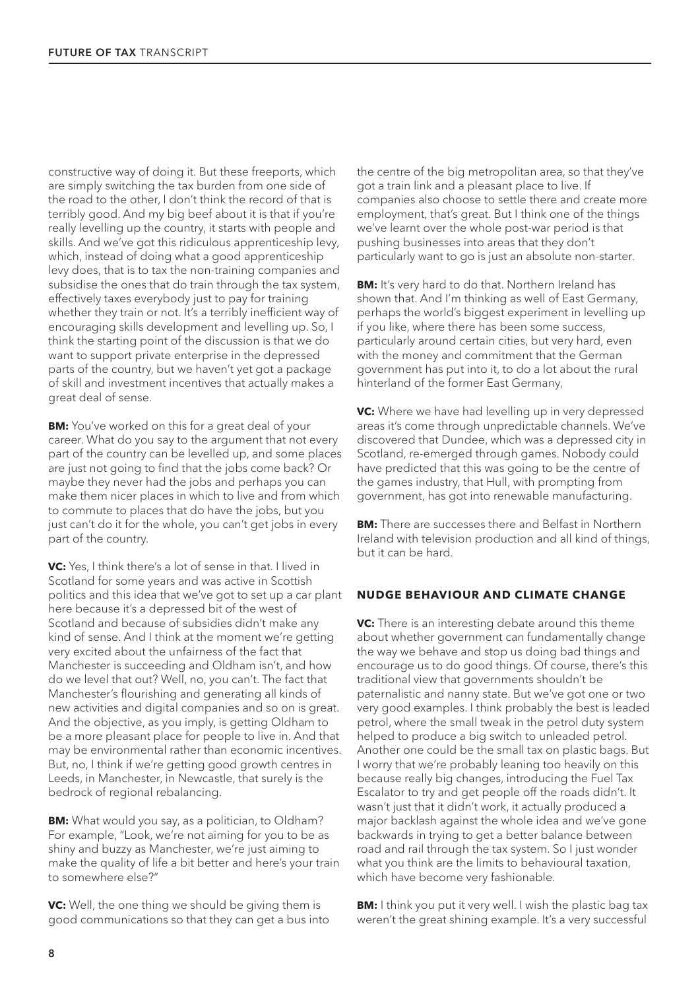constructive way of doing it. But these freeports, which are simply switching the tax burden from one side of the road to the other, I don't think the record of that is terribly good. And my big beef about it is that if you're really levelling up the country, it starts with people and skills. And we've got this ridiculous apprenticeship levy, which, instead of doing what a good apprenticeship levy does, that is to tax the non-training companies and subsidise the ones that do train through the tax system, effectively taxes everybody just to pay for training whether they train or not. It's a terribly inefficient way of encouraging skills development and levelling up. So, I think the starting point of the discussion is that we do want to support private enterprise in the depressed parts of the country, but we haven't yet got a package of skill and investment incentives that actually makes a great deal of sense.

**BM:** You've worked on this for a great deal of your career. What do you say to the argument that not every part of the country can be levelled up, and some places are just not going to find that the jobs come back? Or maybe they never had the jobs and perhaps you can make them nicer places in which to live and from which to commute to places that do have the jobs, but you just can't do it for the whole, you can't get jobs in every part of the country.

**VC:** Yes, I think there's a lot of sense in that. I lived in Scotland for some years and was active in Scottish politics and this idea that we've got to set up a car plant here because it's a depressed bit of the west of Scotland and because of subsidies didn't make any kind of sense. And I think at the moment we're getting very excited about the unfairness of the fact that Manchester is succeeding and Oldham isn't, and how do we level that out? Well, no, you can't. The fact that Manchester's flourishing and generating all kinds of new activities and digital companies and so on is great. And the objective, as you imply, is getting Oldham to be a more pleasant place for people to live in. And that may be environmental rather than economic incentives. But, no, I think if we're getting good growth centres in Leeds, in Manchester, in Newcastle, that surely is the bedrock of regional rebalancing.

**BM:** What would you say, as a politician, to Oldham? For example, "Look, we're not aiming for you to be as shiny and buzzy as Manchester, we're just aiming to make the quality of life a bit better and here's your train to somewhere else?"

**VC:** Well, the one thing we should be giving them is good communications so that they can get a bus into the centre of the big metropolitan area, so that they've got a train link and a pleasant place to live. If companies also choose to settle there and create more employment, that's great. But I think one of the things we've learnt over the whole post-war period is that pushing businesses into areas that they don't particularly want to go is just an absolute non-starter.

**BM:** It's very hard to do that. Northern Ireland has shown that. And I'm thinking as well of East Germany, perhaps the world's biggest experiment in levelling up if you like, where there has been some success, particularly around certain cities, but very hard, even with the money and commitment that the German government has put into it, to do a lot about the rural hinterland of the former East Germany,

**VC:** Where we have had levelling up in very depressed areas it's come through unpredictable channels. We've discovered that Dundee, which was a depressed city in Scotland, re-emerged through games. Nobody could have predicted that this was going to be the centre of the games industry, that Hull, with prompting from government, has got into renewable manufacturing.

**BM:** There are successes there and Belfast in Northern Ireland with television production and all kind of things, but it can be hard.

#### **NUDGE BEHAVIOUR AND CLIMATE CHANGE**

**VC:** There is an interesting debate around this theme about whether government can fundamentally change the way we behave and stop us doing bad things and encourage us to do good things. Of course, there's this traditional view that governments shouldn't be paternalistic and nanny state. But we've got one or two very good examples. I think probably the best is leaded petrol, where the small tweak in the petrol duty system helped to produce a big switch to unleaded petrol. Another one could be the small tax on plastic bags. But I worry that we're probably leaning too heavily on this because really big changes, introducing the Fuel Tax Escalator to try and get people off the roads didn't. It wasn't just that it didn't work, it actually produced a major backlash against the whole idea and we've gone backwards in trying to get a better balance between road and rail through the tax system. So I just wonder what you think are the limits to behavioural taxation, which have become very fashionable.

**BM:** I think you put it very well. I wish the plastic bag tax weren't the great shining example. It's a very successful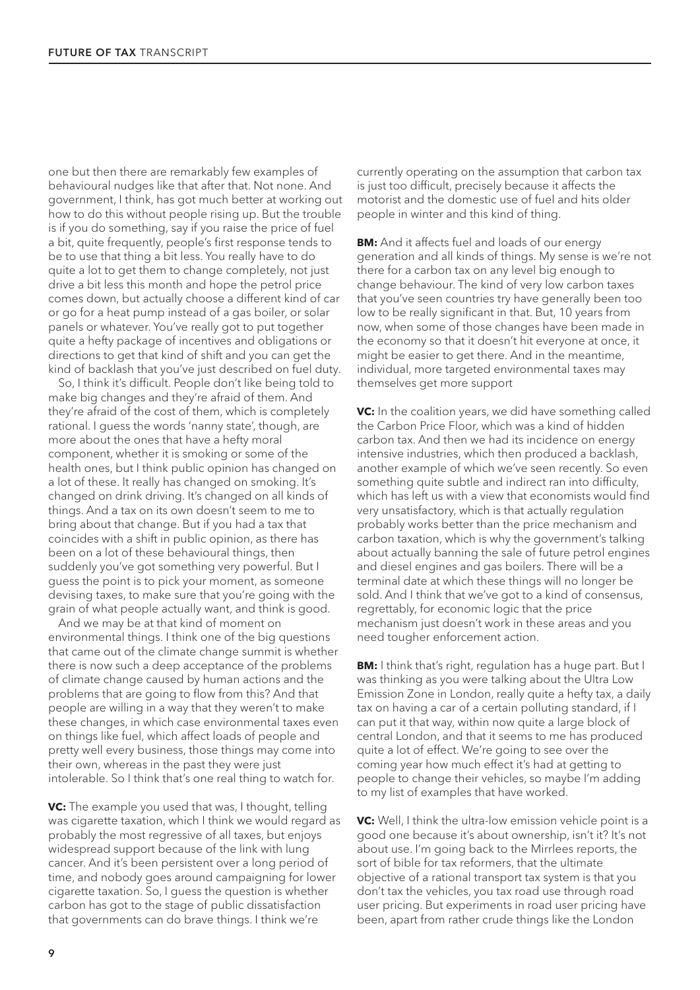one but then there are remarkably few examples of behavioural nudges like that after that. Not none. And government, I think, has got much better at working out how to do this without people rising up. But the trouble is if you do something, say if you raise the price of fuel a bit, quite frequently, people's first response tends to be to use that thing a bit less. You really have to do quite a lot to get them to change completely, not just drive a bit less this month and hope the petrol price comes down, but actually choose a different kind of car or go for a heat pump instead of a gas boiler, or solar panels or whatever. You've really got to put together quite a hefty package of incentives and obligations or directions to get that kind of shift and you can get the kind of backlash that you've just described on fuel duty.

So, I think it's difficult. People don't like being told to make big changes and they're afraid of them. And they're afraid of the cost of them, which is completely rational. I guess the words 'nanny state', though, are more about the ones that have a hefty moral component, whether it is smoking or some of the health ones, but I think public opinion has changed on a lot of these. It really has changed on smoking. It's changed on drink driving. It's changed on all kinds of things. And a tax on its own doesn't seem to me to bring about that change. But if you had a tax that coincides with a shift in public opinion, as there has been on a lot of these behavioural things, then suddenly you've got something very powerful. But I guess the point is to pick your moment, as someone devising taxes, to make sure that you're going with the grain of what people actually want, and think is good.

And we may be at that kind of moment on environmental things. I think one of the big questions that came out of the climate change summit is whether there is now such a deep acceptance of the problems of climate change caused by human actions and the problems that are going to flow from this? And that people are willing in a way that they weren't to make these changes, in which case environmental taxes even on things like fuel, which affect loads of people and pretty well every business, those things may come into their own, whereas in the past they were just intolerable. So I think that's one real thing to watch for.

**VC:** The example you used that was, I thought, telling was cigarette taxation, which I think we would regard as probably the most regressive of all taxes, but enjoys widespread support because of the link with lung cancer. And it's been persistent over a long period of time, and nobody goes around campaigning for lower cigarette taxation. So, I guess the question is whether carbon has got to the stage of public dissatisfaction that governments can do brave things. I think we're

currently operating on the assumption that carbon tax is just too difficult, precisely because it affects the motorist and the domestic use of fuel and hits older people in winter and this kind of thing.

**BM:** And it affects fuel and loads of our energy generation and all kinds of things. My sense is we're not there for a carbon tax on any level big enough to change behaviour. The kind of very low carbon taxes that you've seen countries try have generally been too low to be really significant in that. But, 10 years from now, when some of those changes have been made in the economy so that it doesn't hit everyone at once, it might be easier to get there. And in the meantime, individual, more targeted environmental taxes may themselves get more support

**VC:** In the coalition years, we did have something called the Carbon Price Floor, which was a kind of hidden carbon tax. And then we had its incidence on energy intensive industries, which then produced a backlash, another example of which we've seen recently. So even something quite subtle and indirect ran into difficulty, which has left us with a view that economists would find very unsatisfactory, which is that actually regulation probably works better than the price mechanism and carbon taxation, which is why the government's talking about actually banning the sale of future petrol engines and diesel engines and gas boilers. There will be a terminal date at which these things will no longer be sold. And I think that we've got to a kind of consensus, regrettably, for economic logic that the price mechanism just doesn't work in these areas and you need tougher enforcement action.

**BM:** I think that's right, regulation has a huge part. But I was thinking as you were talking about the Ultra Low Emission Zone in London, really quite a hefty tax, a daily tax on having a car of a certain polluting standard, if I can put it that way, within now quite a large block of central London, and that it seems to me has produced quite a lot of effect. We're going to see over the coming year how much effect it's had at getting to people to change their vehicles, so maybe I'm adding to my list of examples that have worked.

**VC:** Well, I think the ultra-low emission vehicle point is a good one because it's about ownership, isn't it? It's not about use. I'm going back to the Mirrlees reports, the sort of bible for tax reformers, that the ultimate objective of a rational transport tax system is that you don't tax the vehicles, you tax road use through road user pricing. But experiments in road user pricing have been, apart from rather crude things like the London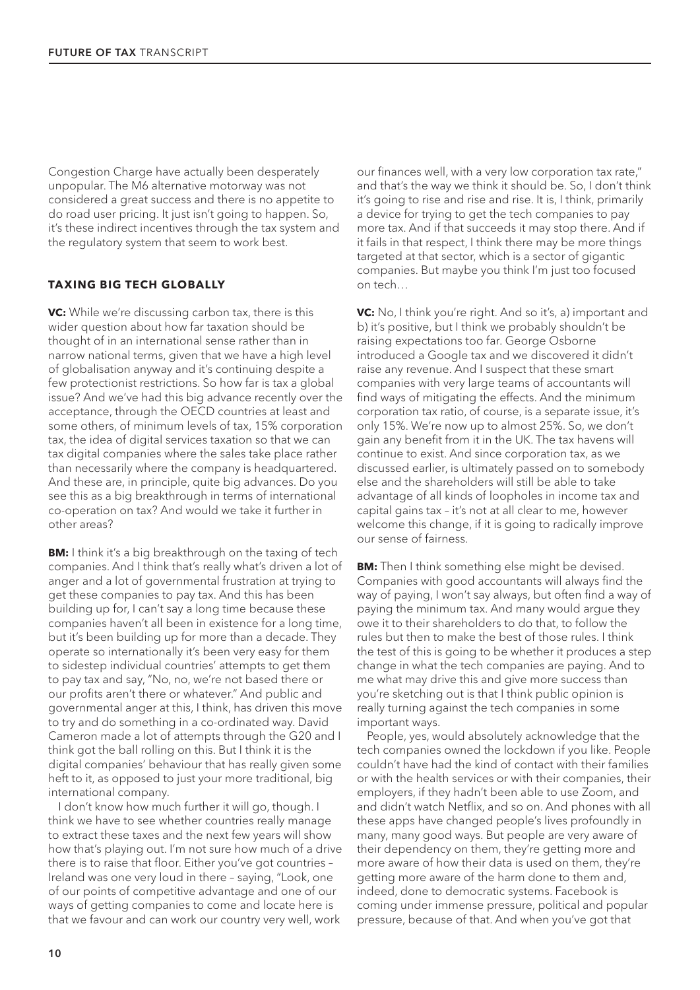Congestion Charge have actually been desperately unpopular. The M6 alternative motorway was not considered a great success and there is no appetite to do road user pricing. It just isn't going to happen. So, it's these indirect incentives through the tax system and the regulatory system that seem to work best.

### **TAXING BIG TECH GLOBALLY**

**VC:** While we're discussing carbon tax, there is this wider question about how far taxation should be thought of in an international sense rather than in narrow national terms, given that we have a high level of globalisation anyway and it's continuing despite a few protectionist restrictions. So how far is tax a global issue? And we've had this big advance recently over the acceptance, through the OECD countries at least and some others, of minimum levels of tax, 15% corporation tax, the idea of digital services taxation so that we can tax digital companies where the sales take place rather than necessarily where the company is headquartered. And these are, in principle, quite big advances. Do you see this as a big breakthrough in terms of international co-operation on tax? And would we take it further in other areas?

**BM:** I think it's a big breakthrough on the taxing of tech companies. And I think that's really what's driven a lot of anger and a lot of governmental frustration at trying to get these companies to pay tax. And this has been building up for, I can't say a long time because these companies haven't all been in existence for a long time, but it's been building up for more than a decade. They operate so internationally it's been very easy for them to sidestep individual countries' attempts to get them to pay tax and say, "No, no, we're not based there or our profits aren't there or whatever." And public and governmental anger at this, I think, has driven this move to try and do something in a co-ordinated way. David Cameron made a lot of attempts through the G20 and I think got the ball rolling on this. But I think it is the digital companies' behaviour that has really given some heft to it, as opposed to just your more traditional, big international company.

I don't know how much further it will go, though. I think we have to see whether countries really manage to extract these taxes and the next few years will show how that's playing out. I'm not sure how much of a drive there is to raise that floor. Either you've got countries – Ireland was one very loud in there – saying, "Look, one of our points of competitive advantage and one of our ways of getting companies to come and locate here is that we favour and can work our country very well, work

our finances well, with a very low corporation tax rate," and that's the way we think it should be. So, I don't think it's going to rise and rise and rise. It is, I think, primarily a device for trying to get the tech companies to pay more tax. And if that succeeds it may stop there. And if it fails in that respect, I think there may be more things targeted at that sector, which is a sector of gigantic companies. But maybe you think I'm just too focused on tech…

**VC:** No, I think you're right. And so it's, a) important and b) it's positive, but I think we probably shouldn't be raising expectations too far. George Osborne introduced a Google tax and we discovered it didn't raise any revenue. And I suspect that these smart companies with very large teams of accountants will find ways of mitigating the effects. And the minimum corporation tax ratio, of course, is a separate issue, it's only 15%. We're now up to almost 25%. So, we don't gain any benefit from it in the UK. The tax havens will continue to exist. And since corporation tax, as we discussed earlier, is ultimately passed on to somebody else and the shareholders will still be able to take advantage of all kinds of loopholes in income tax and capital gains tax – it's not at all clear to me, however welcome this change, if it is going to radically improve our sense of fairness.

**BM:** Then I think something else might be devised. Companies with good accountants will always find the way of paying, I won't say always, but often find a way of paying the minimum tax. And many would argue they owe it to their shareholders to do that, to follow the rules but then to make the best of those rules. I think the test of this is going to be whether it produces a step change in what the tech companies are paying. And to me what may drive this and give more success than you're sketching out is that I think public opinion is really turning against the tech companies in some important ways.

People, yes, would absolutely acknowledge that the tech companies owned the lockdown if you like. People couldn't have had the kind of contact with their families or with the health services or with their companies, their employers, if they hadn't been able to use Zoom, and and didn't watch Netflix, and so on. And phones with all these apps have changed people's lives profoundly in many, many good ways. But people are very aware of their dependency on them, they're getting more and more aware of how their data is used on them, they're getting more aware of the harm done to them and, indeed, done to democratic systems. Facebook is coming under immense pressure, political and popular pressure, because of that. And when you've got that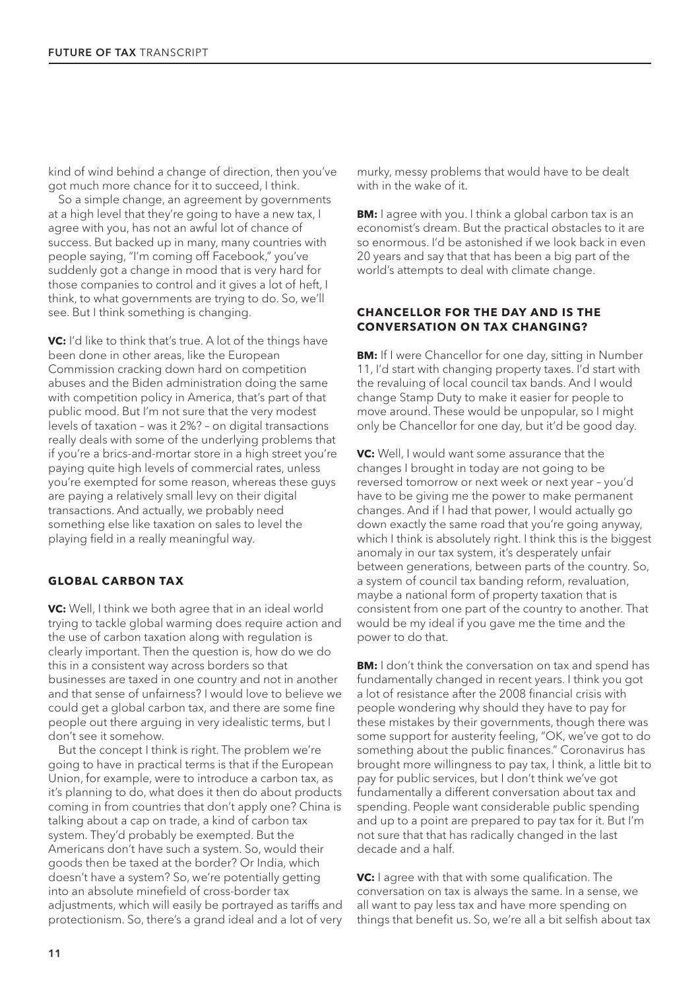kind of wind behind a change of direction, then you've got much more chance for it to succeed, I think.

So a simple change, an agreement by governments at a high level that they're going to have a new tax, I agree with you, has not an awful lot of chance of success. But backed up in many, many countries with people saying, "I'm coming off Facebook," you've suddenly got a change in mood that is very hard for those companies to control and it gives a lot of heft, I think, to what governments are trying to do. So, we'll see. But I think something is changing.

**VC:** I'd like to think that's true. A lot of the things have been done in other areas, like the European Commission cracking down hard on competition abuses and the Biden administration doing the same with competition policy in America, that's part of that public mood. But I'm not sure that the very modest levels of taxation – was it 2%? – on digital transactions really deals with some of the underlying problems that if you're a brics-and-mortar store in a high street you're paying quite high levels of commercial rates, unless you're exempted for some reason, whereas these guys are paying a relatively small levy on their digital transactions. And actually, we probably need something else like taxation on sales to level the playing field in a really meaningful way.

#### **GLOBAL CARBON TAX**

**VC:** Well, I think we both agree that in an ideal world trying to tackle global warming does require action and the use of carbon taxation along with regulation is clearly important. Then the question is, how do we do this in a consistent way across borders so that businesses are taxed in one country and not in another and that sense of unfairness? I would love to believe we could get a global carbon tax, and there are some fine people out there arguing in very idealistic terms, but I don't see it somehow.

But the concept I think is right. The problem we're going to have in practical terms is that if the European Union, for example, were to introduce a carbon tax, as it's planning to do, what does it then do about products coming in from countries that don't apply one? China is talking about a cap on trade, a kind of carbon tax system. They'd probably be exempted. But the Americans don't have such a system. So, would their goods then be taxed at the border? Or India, which doesn't have a system? So, we're potentially getting into an absolute minefield of cross-border tax adjustments, which will easily be portrayed as tariffs and protectionism. So, there's a grand ideal and a lot of very murky, messy problems that would have to be dealt with in the wake of it.

**BM:** I agree with you. I think a global carbon tax is an economist's dream. But the practical obstacles to it are so enormous. I'd be astonished if we look back in even 20 years and say that that has been a big part of the world's attempts to deal with climate change.

#### **CHANCELLOR FOR THE DAY AND IS THE CONVERSATION ON TAX CHANGING?**

**BM:** If I were Chancellor for one day, sitting in Number 11, I'd start with changing property taxes. I'd start with the revaluing of local council tax bands. And I would change Stamp Duty to make it easier for people to move around. These would be unpopular, so I might only be Chancellor for one day, but it'd be good day.

**VC:** Well, I would want some assurance that the changes I brought in today are not going to be reversed tomorrow or next week or next year – you'd have to be giving me the power to make permanent changes. And if I had that power, I would actually go down exactly the same road that you're going anyway, which I think is absolutely right. I think this is the biggest anomaly in our tax system, it's desperately unfair between generations, between parts of the country. So, a system of council tax banding reform, revaluation, maybe a national form of property taxation that is consistent from one part of the country to another. That would be my ideal if you gave me the time and the power to do that.

**BM:** I don't think the conversation on tax and spend has fundamentally changed in recent years. I think you got a lot of resistance after the 2008 financial crisis with people wondering why should they have to pay for these mistakes by their governments, though there was some support for austerity feeling, "OK, we've got to do something about the public finances." Coronavirus has brought more willingness to pay tax, I think, a little bit to pay for public services, but I don't think we've got fundamentally a different conversation about tax and spending. People want considerable public spending and up to a point are prepared to pay tax for it. But I'm not sure that that has radically changed in the last decade and a half.

**VC:** I agree with that with some qualification. The conversation on tax is always the same. In a sense, we all want to pay less tax and have more spending on things that benefit us. So, we're all a bit selfish about tax